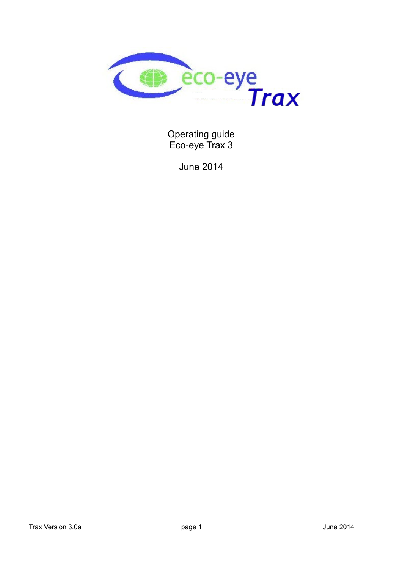

Operating guide Eco-eye Trax 3

June 2014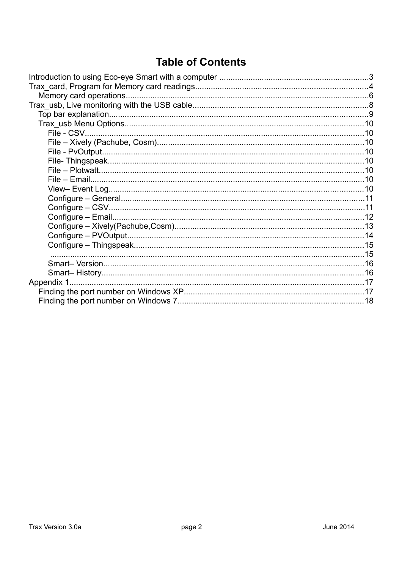# **Table of Contents**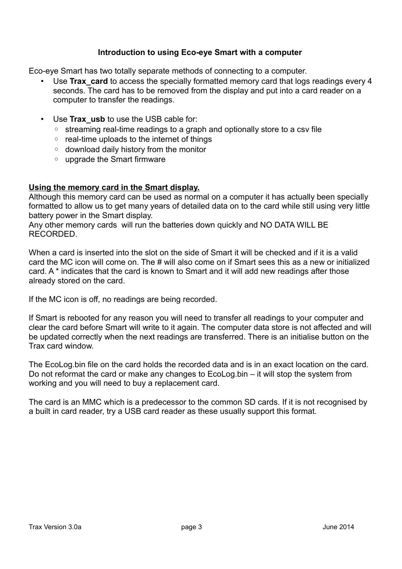## **Introduction to using Eco-eye Smart with a computer**

Eco-eye Smart has two totally separate methods of connecting to a computer.

- Use **Trax** card to access the specially formatted memory card that logs readings every 4 seconds. The card has to be removed from the display and put into a card reader on a computer to transfer the readings.
- Use **Trax\_usb** to use the USB cable for:
	- streaming real-time readings to a graph and optionally store to a csv file
	- real-time uploads to the internet of things
	- download daily history from the monitor
	- upgrade the Smart firmware

## **Using the memory card in the Smart display.**

Although this memory card can be used as normal on a computer it has actually been specially formatted to allow us to get many years of detailed data on to the card while still using very little battery power in the Smart display.

Any other memory cards will run the batteries down quickly and NO DATA WILL BE RECORDED.

When a card is inserted into the slot on the side of Smart it will be checked and if it is a valid card the MC icon will come on. The # will also come on if Smart sees this as a new or initialized card. A \* indicates that the card is known to Smart and it will add new readings after those already stored on the card.

If the MC icon is off, no readings are being recorded.

If Smart is rebooted for any reason you will need to transfer all readings to your computer and clear the card before Smart will write to it again. The computer data store is not affected and will be updated correctly when the next readings are transferred. There is an initialise button on the Trax card window.

The EcoLog.bin file on the card holds the recorded data and is in an exact location on the card. Do not reformat the card or make any changes to EcoLog.bin – it will stop the system from working and you will need to buy a replacement card.

The card is an MMC which is a predecessor to the common SD cards. If it is not recognised by a built in card reader, try a USB card reader as these usually support this format.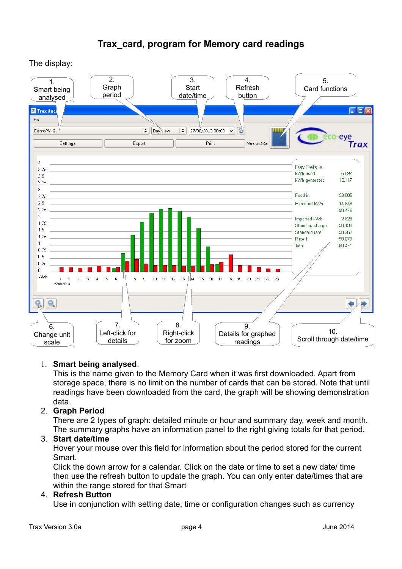





# 1. **Smart being analysed**.

This is the name given to the Memory Card when it was first downloaded. Apart from storage space, there is no limit on the number of cards that can be stored. Note that until readings have been downloaded from the card, the graph will be showing demonstration data.

# 2. **Graph Period**

There are 2 types of graph: detailed minute or hour and summary day, week and month. The summary graphs have an information panel to the right giving totals for that period.

# 3. **Start date/time**

Hover your mouse over this field for information about the period stored for the current Smart.

Click the down arrow for a calendar. Click on the date or time to set a new date/ time then use the refresh button to update the graph. You can only enter date/times that are within the range stored for that Smart

# 4. **Refresh Button**

Use in conjunction with setting date, time or configuration changes such as currency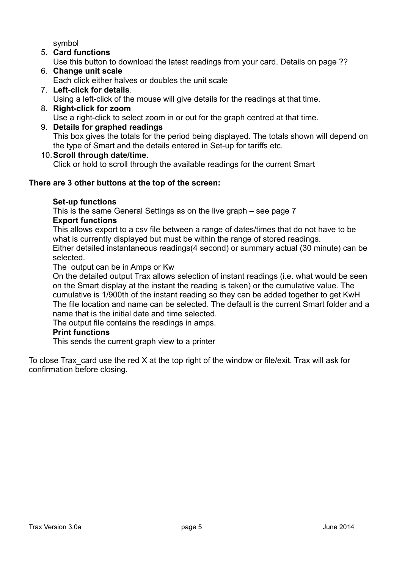symbol

- 5. **Card functions** Use this button to download the latest readings from your card. Details on page ??
- 6. **Change unit scale** Each click either halves or doubles the unit scale
- 7. **Left-click for details**. Using a left-click of the mouse will give details for the readings at that time. 8. **Right-click for zoom**
- Use a right-click to select zoom in or out for the graph centred at that time. 9. **Details for graphed readings** This box gives the totals for the period being displayed. The totals shown will depend on

the type of Smart and the details entered in Set-up for tariffs etc.

10.**Scroll through date/time.**

Click or hold to scroll through the available readings for the current Smart

## **There are 3 other buttons at the top of the screen:**

## **Set-up functions**

This is the same General Settings as on the live graph – see page 7 **Export functions**

This allows export to a csv file between a range of dates/times that do not have to be what is currently displayed but must be within the range of stored readings. Either detailed instantaneous readings(4 second) or summary actual (30 minute) can be selected.

The output can be in Amps or Kw

On the detailed output Trax allows selection of instant readings (i.e. what would be seen on the Smart display at the instant the reading is taken) or the cumulative value. The cumulative is 1/900th of the instant reading so they can be added together to get KwH The file location and name can be selected. The default is the current Smart folder and a name that is the initial date and time selected.

The output file contains the readings in amps.

## **Print functions**

This sends the current graph view to a printer

To close Trax card use the red X at the top right of the window or file/exit. Trax will ask for confirmation before closing.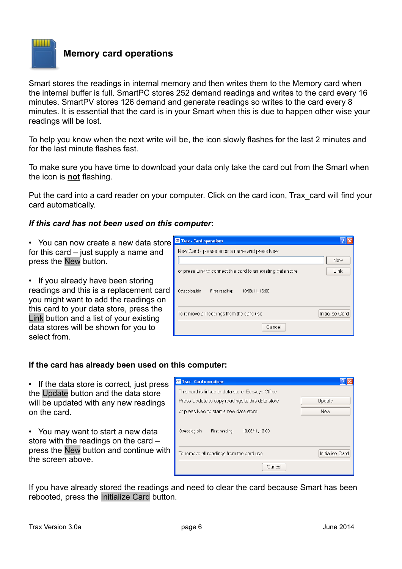

# **Memory card operations**

Smart stores the readings in internal memory and then writes them to the Memory card when the internal buffer is full. SmartPC stores 252 demand readings and writes to the card every 16 minutes. SmartPV stores 126 demand and generate readings so writes to the card every 8 minutes. It is essential that the card is in your Smart when this is due to happen other wise your readings will be lost.

To help you know when the next write will be, the icon slowly flashes for the last 2 minutes and for the last minute flashes fast.

To make sure you have time to download your data only take the card out from the Smart when the icon is **not** flashing.

Put the card into a card reader on your computer. Click on the card icon, Trax\_card will find your card automatically.

## *If this card has not been used on this computer*:

• You can now create a new data store for this card – just supply a name and press the New button.

• If you already have been storing readings and this is a replacement card you might want to add the readings on this card to your data store, press the Link button and a list of your existing data stores will be shown for you to select from.

| <b>Trax - Card operations</b>                                |                 |
|--------------------------------------------------------------|-----------------|
| New Card - please enter a name and press New                 |                 |
|                                                              | New             |
| or press Link to connect this card to an existing data store | Link            |
| O:\ecolog.bin<br>10/08/11, 16:00<br>First reading:           |                 |
| To remove all readings from the card use                     | Initialise Card |
| Cancel                                                       |                 |

# **If the card has already been used on this computer:**

• If the data store is correct, just press the Update button and the data store will be updated with any new readings on the card.

• You may want to start a new data store with the readings on the card – press the New button and continue with the screen above.

| <b>Trax - Card operations</b>                      |                 |
|----------------------------------------------------|-----------------|
| This card is linked to data store: Eco-eye Office  |                 |
| Press Update to copy readings to this data store   | Update          |
| or press New to start a new data store             | New             |
| O:\ecolog.bin<br>10/08/11, 16:00<br>First reading: |                 |
| To remove all readings from the card use           | Initialise Card |
| Cancel                                             |                 |

If you have already stored the readings and need to clear the card because Smart has been rebooted, press the Initialize Card button.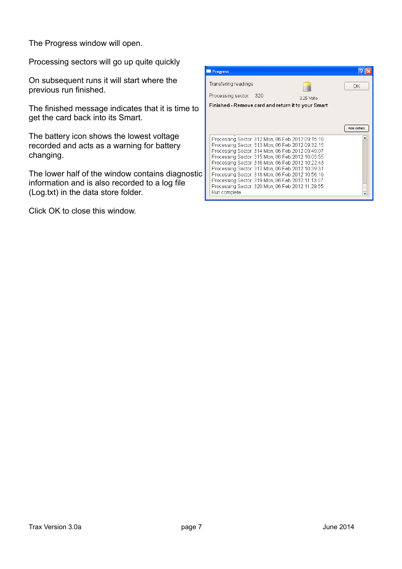The Progress window will open.

Processing sectors will go up quite quickly

On subsequent runs it will start where the previous run finished.

The finished message indicates that it is time to get the card back into its Smart.

The battery icon shows the lowest voltage recorded and acts as a warning for battery changing.

The lower half of the window contains diagnostic information and is also recorded to a log file (Log.txt) in the data store folder.

Click OK to close this window.

| <b>Progress</b>                                                                                                                                                                                                                                                                                                                                                                                                                                                                                  |     |            |              |
|--------------------------------------------------------------------------------------------------------------------------------------------------------------------------------------------------------------------------------------------------------------------------------------------------------------------------------------------------------------------------------------------------------------------------------------------------------------------------------------------------|-----|------------|--------------|
| Transfering readings                                                                                                                                                                                                                                                                                                                                                                                                                                                                             |     |            | ОK           |
| Processing sector:                                                                                                                                                                                                                                                                                                                                                                                                                                                                               | 320 | 3.25 Volts |              |
| Finished - Remove card and return it to your Smart                                                                                                                                                                                                                                                                                                                                                                                                                                               |     |            |              |
|                                                                                                                                                                                                                                                                                                                                                                                                                                                                                                  |     |            |              |
|                                                                                                                                                                                                                                                                                                                                                                                                                                                                                                  |     |            | Hide details |
| Processing Sector: 312 Mon, 06 Feb 2012 09:15:19<br>Processing Sector: 313 Mon, 06 Feb 2012 09:32:15<br>Processing Sector: 314 Mon, 06 Feb 2012 09:49:07<br>Processing Sector: 315 Mon, 06 Feb 2012 10:05:55<br>Processing Sector: 316 Mon, 06 Feb 2012 10:22:43<br>Processing Sector: 317 Mon, 06 Feb 2012 10:39:31<br>Processing Sector: 318 Mon, 06 Feb 2012 10:56:19<br>Processing Sector: 319 Mon, 06 Feb 2012 11:13:07<br>Processing Sector: 320 Mon, 06 Feb 2012 11:29:55<br>Run complete |     |            |              |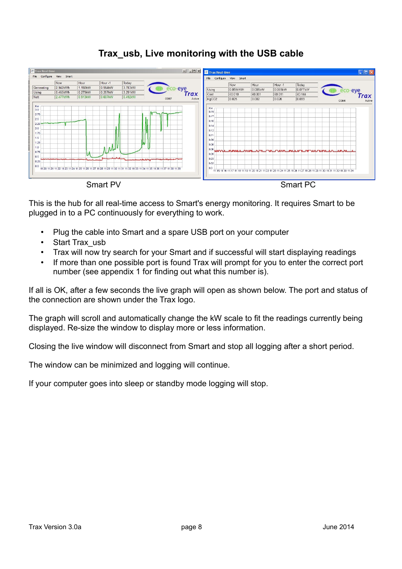

# **Trax\_usb, Live monitoring with the USB cable**

This is the hub for all real-time access to Smart's energy monitoring. It requires Smart to be plugged in to a PC continuously for everything to work.

- Plug the cable into Smart and a spare USB port on your computer
- Start Trax\_usb
- Trax will now try search for your Smart and if successful will start displaying readings
- If more than one possible port is found Trax will prompt for you to enter the correct port number (see appendix 1 for finding out what this number is).

If all is OK, after a few seconds the live graph will open as shown below. The port and status of the connection are shown under the Trax logo.

The graph will scroll and automatically change the kW scale to fit the readings currently being displayed. Re-size the window to display more or less information.

Closing the live window will disconnect from Smart and stop all logging after a short period.

The window can be minimized and logging will continue.

If your computer goes into sleep or standby mode logging will stop.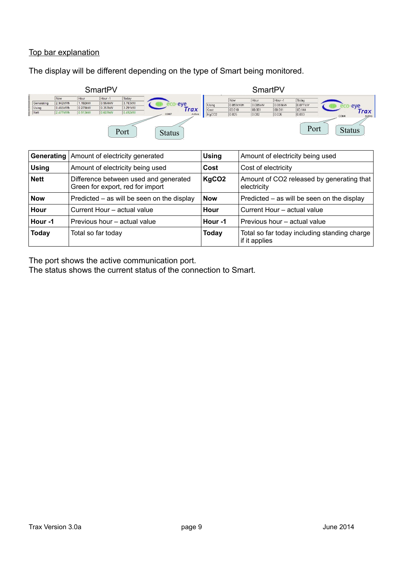## Top bar explanation

The display will be different depending on the type of Smart being monitored.



|              | <b>Generating   Amount of electricity generated</b>                       | <b>Using</b>      | Amount of electricity being used                              |  |  |
|--------------|---------------------------------------------------------------------------|-------------------|---------------------------------------------------------------|--|--|
| <b>Using</b> | Amount of electricity being used                                          | Cost              | Cost of electricity                                           |  |  |
| <b>Nett</b>  | Difference between used and generated<br>Green for export, red for import | KgCO <sub>2</sub> | Amount of CO2 released by generating that<br>electricity      |  |  |
| <b>Now</b>   | Predicted – as will be seen on the display                                | <b>Now</b>        | Predicted – as will be seen on the display                    |  |  |
| Hour         | Current Hour - actual value                                               | Hour              | Current Hour - actual value                                   |  |  |
| Hour-1       | Previous hour – actual value                                              | Hour-1            | Previous hour – actual value                                  |  |  |
| <b>Today</b> | Total so far today                                                        | Today             | Total so far today including standing charge<br>if it applies |  |  |

The port shows the active communication port.

The status shows the current status of the connection to Smart.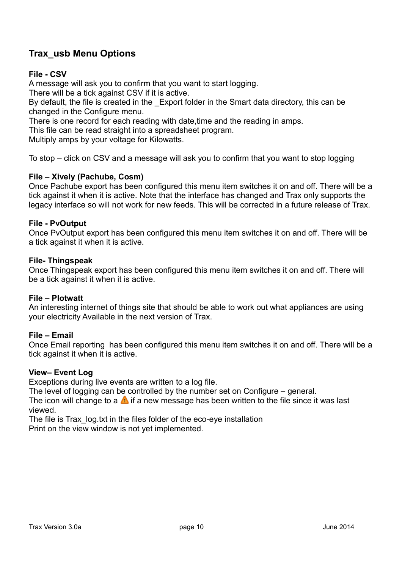# **Trax\_usb Menu Options**

## **File - CSV**

A message will ask you to confirm that you want to start logging.

There will be a tick against CSV if it is active.

By default, the file is created in the Export folder in the Smart data directory, this can be changed in the Configure menu.

There is one record for each reading with date,time and the reading in amps.

This file can be read straight into a spreadsheet program.

Multiply amps by your voltage for Kilowatts.

To stop – click on CSV and a message will ask you to confirm that you want to stop logging

## **File – Xively (Pachube, Cosm)**

Once Pachube export has been configured this menu item switches it on and off. There will be a tick against it when it is active. Note that the interface has changed and Trax only supports the legacy interface so will not work for new feeds. This will be corrected in a future release of Trax.

#### **File - PvOutput**

Once PvOutput export has been configured this menu item switches it on and off. There will be a tick against it when it is active.

#### **File- Thingspeak**

Once Thingspeak export has been configured this menu item switches it on and off. There will be a tick against it when it is active.

#### **File – Plotwatt**

An interesting internet of things site that should be able to work out what appliances are using your electricity Available in the next version of Trax.

#### **File – Email**

Once Email reporting has been configured this menu item switches it on and off. There will be a tick against it when it is active.

#### **View– Event Log**

Exceptions during live events are written to a log file.

The level of logging can be controlled by the number set on Configure – general.

The icon will change to a  $\triangle$  if a new message has been written to the file since it was last viewed.

The file is Trax\_log.txt in the files folder of the eco-eye installation

Print on the view window is not yet implemented.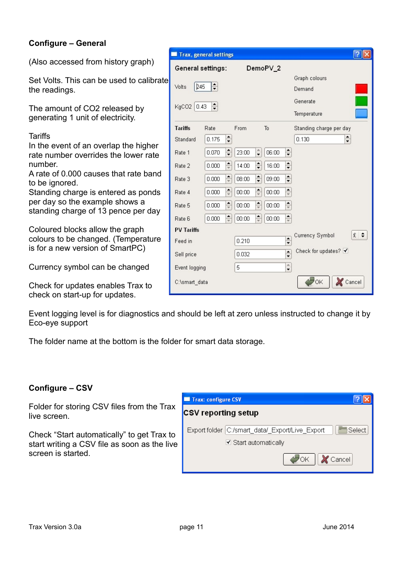# **Configure – General**

(Also accessed from history graph)

Set Volts. This can be used to calibrate the readings.

The amount of CO2 released by generating 1 unit of electricity.

**Tariffs** 

In the event of an overlap the higher rate number overrides the lower rate number.

A rate of 0.000 causes that rate band to be ignored.

Standing charge is entered as ponds per day so the example shows a standing charge of 13 pence per day

Coloured blocks allow the graph colours to be changed. (Temperature is for a new version of SmartPC)

Currency symbol can be changed

Check for updates enables Trax to check on start-up for updates.

| Event logging level is for diagnostics and should be left at zero unless instructed to change it by |  |  |
|-----------------------------------------------------------------------------------------------------|--|--|
| Eco-eye support                                                                                     |  |  |

The folder name at the bottom is the folder for smart data storage.

# **Configure – CSV**

Folder for storing CSV files from the Trax live screen.

Check "Start automatically" to get Trax to start writing a CSV file as soon as the live screen is started.

| <b>Trax: configure CSV</b> |                                                             |
|----------------------------|-------------------------------------------------------------|
| <b>CSV</b> reporting setup |                                                             |
|                            | Select<br>Export folder   C:/smart_data/_Export/Live_Export |
|                            | ☑ Start automatically                                       |
|                            | <b>X</b> Cancel<br>OK.                                      |

| <b>Trax, general settings</b> |                  |                                  |                                  |                        |                                         |
|-------------------------------|------------------|----------------------------------|----------------------------------|------------------------|-----------------------------------------|
| General settings:             |                  |                                  | DemoPV_2                         |                        |                                         |
| 245<br>Volts                  | $\div$           |                                  |                                  |                        | Graph colours<br>Demand                 |
| KgCO2<br>0.43                 | $\frac{1}{\tau}$ |                                  |                                  |                        | Generate<br>Temperature                 |
| <b>Tariffs</b>                | Rate             | From                             | To                               |                        | Standing charge per day                 |
| Standard                      | 0.175            | $\div$                           |                                  |                        | $\div$<br>0.130                         |
| Rate 1                        | 0.070            | $\frac{\cdot}{\cdot}$<br>23:00   | $\hat{\bullet}$<br>06:00         | $\div$                 |                                         |
| Rate 2                        | 0.000            | $\frac{\bullet}{\circ}$<br>14:00 | $\div$<br>16:00                  | $\frac{\cdot}{\cdot}$  |                                         |
| Rate 3                        | 0.000            | $\frac{\bullet}{\circ}$<br>08:00 | $\div$<br>09:00                  | $\frac{\cdot}{\cdot}$  |                                         |
| Rate 4                        | 0.000            | $\frac{\bullet}{\circ}$<br>00:00 | $\frac{\bullet}{\circ}$<br>00:00 | $\frac{\bullet}{\ast}$ |                                         |
| Rate 5                        | 0.000            | $\frac{\bullet}{\circ}$<br>00:00 | $\div$<br>00:00                  | $\frac{\bullet}{\ast}$ |                                         |
| Rate 6                        | 0.000            | $\frac{\bullet}{\circ}$<br>00:00 | $\frac{1}{x}$<br>00:00           | $\frac{1}{\pi}$        |                                         |
| <b>PV Tariffs</b>             |                  |                                  |                                  |                        | ÷<br>$\mathfrak{L}$                     |
| Feed in                       |                  | 0.210                            |                                  | $\div$                 | Currency Symbol                         |
| Sell price                    |                  | 0.032                            |                                  | $\frac{1}{\tau}$       | Check for updates? $\blacktriangleleft$ |
| Event logging                 |                  | 5                                |                                  | $\frac{1}{\bullet}$    |                                         |
| C:\smart_data                 |                  |                                  |                                  |                        | OK<br>Cancel                            |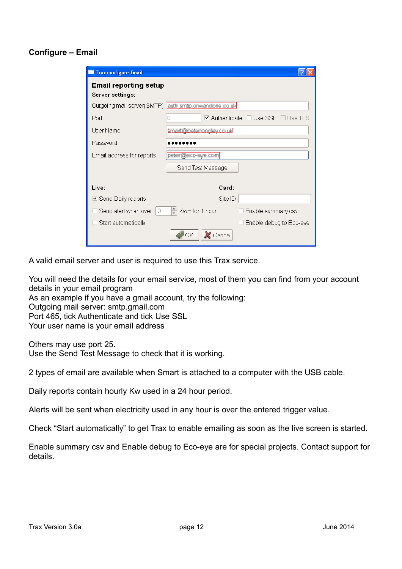## **Configure – Email**

| <b>Trax configure Email</b>                      |                                                                          |  |
|--------------------------------------------------|--------------------------------------------------------------------------|--|
| <b>Email reporting setup</b><br>Server settings: |                                                                          |  |
|                                                  | Outgoing mail server(SMTP) <b>Cuttle amp aneandore cause</b>             |  |
| Port                                             | $\blacktriangledown$ Authenticate $\;\Box$ Use SSL $\;\Box$ Use TLS<br>0 |  |
| User Name                                        | aman <u>iyo assor yay</u> tao ta                                         |  |
| Password                                         |                                                                          |  |
| Email address for reports                        | peter@eco-eye.com                                                        |  |
|                                                  | Send Test Message                                                        |  |
| Live:                                            | Card:                                                                    |  |
| <b>☑</b> Send Daily reports                      | Site ID                                                                  |  |
| Send alert when over<br>0                        | $\div$<br>KwH for 1 hour<br>Enable summary csv                           |  |
| Start automatically                              | Enable debug to Eco-eye                                                  |  |
|                                                  | Cancel<br>ОK                                                             |  |

A valid email server and user is required to use this Trax service.

You will need the details for your email service, most of them you can find from your account details in your email program

As an example if you have a gmail account, try the following:

Outgoing mail server: smtp.gmail.com

Port 465, tick Authenticate and tick Use SSL

Your user name is your email address

Others may use port 25.

Use the Send Test Message to check that it is working.

2 types of email are available when Smart is attached to a computer with the USB cable.

Daily reports contain hourly Kw used in a 24 hour period.

Alerts will be sent when electricity used in any hour is over the entered trigger value.

Check "Start automatically" to get Trax to enable emailing as soon as the live screen is started.

Enable summary csv and Enable debug to Eco-eye are for special projects. Contact support for details.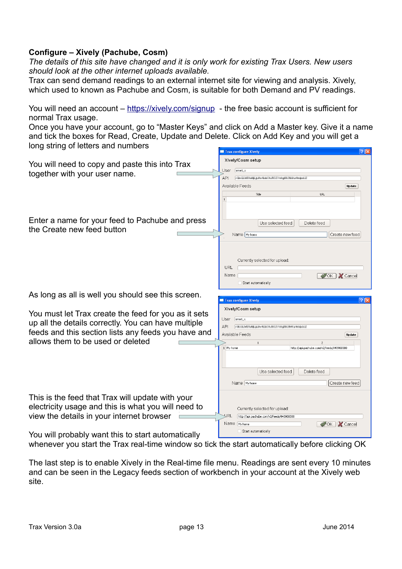## **Configure – Xively (Pachube, Cosm)**

*The details of this site have changed and it is only work for existing Trax Users. New users should look at the other internet uploads available.*

Trax can send demand readings to an external internet site for viewing and analysis. Xively, which used to known as Pachube and Cosm, is suitable for both Demand and PV readings.

You will need an account –<https://xively.com/signup>- the free basic account is sufficient for normal Trax usage.

Once you have your account, go to "Master Keys" and click on Add a Master key. Give it a name and tick the boxes for Read, Create, Update and Delete. Click on Add Key and you will get a long string of letters and numbers

|                                                                                                                                                                                                            | $\boxed{?}$ $\boxed{\times}$<br>Trax configure Xively                                                                                                                                                                                                                      |
|------------------------------------------------------------------------------------------------------------------------------------------------------------------------------------------------------------|----------------------------------------------------------------------------------------------------------------------------------------------------------------------------------------------------------------------------------------------------------------------------|
| You will need to copy and paste this into Trax<br>together with your user name.                                                                                                                            | Xively/Cosm setup<br>smart_x<br>User<br>API<br>FOR GLASSING ARRANGED AT THE RESIDENCE IN EACH<br>Available Feeds<br>Update<br>Title<br><b>URL</b>                                                                                                                          |
| Enter a name for your feed to Pachube and press<br>the Create new feed button                                                                                                                              | Use selected feed<br>Delete feed<br>Name My home<br>Create new feed<br>Currently selected for upload:<br>URL<br>Name<br>OK X Cancel<br>Start automatically                                                                                                                 |
| As long as all is well you should see this screen.                                                                                                                                                         |                                                                                                                                                                                                                                                                            |
|                                                                                                                                                                                                            | $\sqrt{2 \mathbf{x} }$<br>Trax configure Xively                                                                                                                                                                                                                            |
| You must let Trax create the feed for you as it sets<br>up all the details correctly. You can have multiple<br>feeds and this section lists any feeds you have and<br>allows them to be used or deleted    | Xively/Cosm setup<br>$smart_x$<br>User<br>API<br>FECOLMSTANLA ENVIRON-ROZYHINGER-FLYMEQOLD<br>Available Feeds<br>Update<br>$\overline{c}$<br>1 My home<br>http://api.pachube.com/v2/feeds/943900388<br>Use selected feed<br>Delete feed<br>Name My home<br>Create new feed |
| This is the feed that Trax will update with your<br>electricity usage and this is what you will need to<br>view the details in your internet browser<br>You will probably want this to start automatically | Currently selected for upload:<br>YRL<br>http://api.pachube.com/v2/feeds/943900388<br>OK X Cancel<br>Name My home<br>Start automatically                                                                                                                                   |

whenever you start the Trax real-time window so tick the start automatically before clicking OK

The last step is to enable Xively in the Real-time file menu. Readings are sent every 10 minutes and can be seen in the Legacy feeds section of workbench in your account at the Xively web site.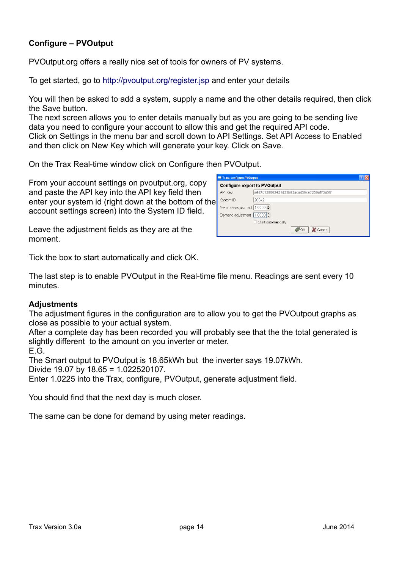# **Configure – PVOutput**

PVOutput.org offers a really nice set of tools for owners of PV systems.

To get started, go to<http://pvoutput.org/register.jsp>and enter your details

You will then be asked to add a system, supply a name and the other details required, then click the Save button.

The next screen allows you to enter details manually but as you are going to be sending live data you need to configure your account to allow this and get the required API code. Click on Settings in the menu bar and scroll down to API Settings. Set API Access to Enabled and then click on New Key which will generate your key. Click on Save.

On the Trax Real-time window click on Configure then PVOutput.

From your account settings on pvoutput.org, copy and paste the API key into the API key field then enter your system id (right down at the bottom of the account settings screen) into the System ID field.

Leave the adjustment fields as they are at the moment.



Tick the box to start automatically and click OK.

The last step is to enable PVOutput in the Real-time file menu. Readings are sent every 10 minutes.

## **Adjustments**

The adjustment figures in the configuration are to allow you to get the PVOutpout graphs as close as possible to your actual system.

After a complete day has been recorded you will probably see that the the total generated is slightly different to the amount on you inverter or meter.

E.G.

The Smart output to PVOutput is 18.65kWh but the inverter says 19.07kWh. Divide 19.07 by 18.65 = 1.022520107.

Enter 1.0225 into the Trax, configure, PVOutput, generate adjustment field.

You should find that the next day is much closer.

The same can be done for demand by using meter readings.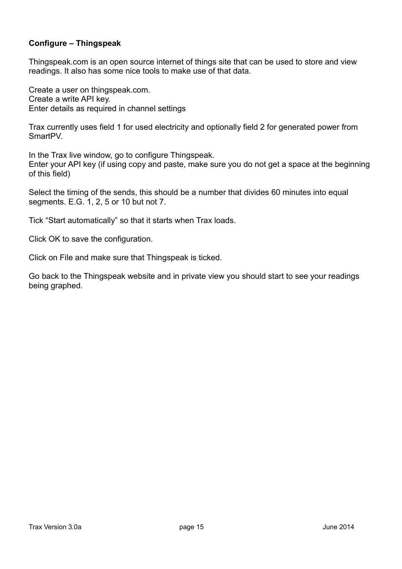# **Configure – Thingspeak**

Thingspeak.com is an open source internet of things site that can be used to store and view readings. It also has some nice tools to make use of that data.

Create a user on thingspeak.com. Create a write API key. Enter details as required in channel settings

Trax currently uses field 1 for used electricity and optionally field 2 for generated power from SmartPV.

In the Trax live window, go to configure Thingspeak. Enter your API key (if using copy and paste, make sure you do not get a space at the beginning of this field)

Select the timing of the sends, this should be a number that divides 60 minutes into equal segments. E.G. 1, 2, 5 or 10 but not 7.

Tick "Start automatically" so that it starts when Trax loads.

Click OK to save the configuration.

Click on File and make sure that Thingspeak is ticked.

Go back to the Thingspeak website and in private view you should start to see your readings being graphed.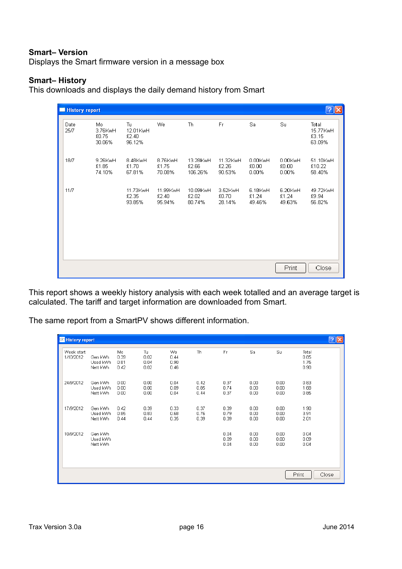## **Smart– Version**

Displays the Smart firmware version in a message box

#### **Smart– History**

This downloads and displays the daily demand history from Smart

| <b>History report</b> |                                  |                                   |                             |                              |                             |                              |                            | ?                                    |
|-----------------------|----------------------------------|-----------------------------------|-----------------------------|------------------------------|-----------------------------|------------------------------|----------------------------|--------------------------------------|
| Date<br>25/7          | Mo<br>3.76KwH<br>£0.75<br>30.06% | Tu<br>12.01KwH<br>£2.40<br>96.12% | We                          | <b>Th</b>                    | Fr                          | Sa                           | Su                         | Total<br>15.77KwH<br>£3.15<br>63.09% |
| 18/7                  | 9.26KwH<br>£1.85<br>74.10%       | 8.48KwH<br>£1.70<br>67.81%        | 8.76KwH<br>£1.75<br>70.08%  | 13.28KwH<br>£2.66<br>106.26% | 11.32KwH<br>£2.26<br>90.53% | 0.00KwH<br>£0.00<br>$0.00\%$ | 0.00KwH<br>£0.00<br>0.00%  | 51.10KwH<br>£10.22<br>58.40%         |
| 11/7                  |                                  | 11.73KwH<br>£2.35<br>93.85%       | 11.99KwH<br>£2.40<br>95.94% | 10.09KwH<br>£2.02<br>80.74%  | 3.52KwH<br>£0.70<br>28.14%  | 6.18KwH<br>£1.24<br>49.46%   | 6.20KwH<br>£1.24<br>49.63% | 49.72KwH<br>£9.94<br>56.82%          |
|                       |                                  |                                   |                             |                              |                             |                              | Print                      | Close                                |

This report shows a weekly history analysis with each week totalled and an average target is calculated. The tariff and target information are downloaded from Smart.

The same report from a SmartPV shows different information.

| History report          |                                 |                             |                            |                            |                      |                      |                      |                      | $\frac{1}{2}$                 |
|-------------------------|---------------------------------|-----------------------------|----------------------------|----------------------------|----------------------|----------------------|----------------------|----------------------|-------------------------------|
| Week start<br>1/10/2012 | Gen kWh<br>Used kWh<br>Nett kWh | Mo.<br>0.39<br>0.81<br>0.42 | Tu<br>0.02<br>0.04<br>0.02 | We<br>0.44<br>0.90<br>0.46 | Th                   | Fr                   | Sa                   | Su                   | Total<br>0.85<br>1.75<br>0.90 |
| 24/9/2012               | Gen kWh<br>Used kWh<br>Nett kWh | 0.00<br>0.00<br>0.00        | 0.00<br>0.00<br>0.00       | 0.04<br>0.09<br>0.04       | 0.42<br>0.85<br>0.44 | 0.37<br>0.74<br>0.37 | 0.00<br>0.00<br>0.00 | 0.00<br>0.00<br>0.00 | 0.83<br>1.68<br>0.85          |
| 17/9/2012               | Gen kWh<br>Used kWh<br>Nett kWh | 0.42<br>0.85<br>0.44        | 0.39<br>0.83<br>0.44       | 0.33<br>0.68<br>0.35       | 0.37<br>0.76<br>0.39 | 0.39<br>0.79<br>0.39 | 0.00<br>0.00<br>0.00 | 0.00<br>0.00<br>0.00 | 1.90<br>3.91<br>2.01          |
| 10/9/2012               | Gen kWh<br>Used kWh<br>Nett kWh |                             |                            |                            |                      | 0.04<br>0.09<br>0.04 | 0.00<br>0.00<br>0.00 | 0.00<br>0.00<br>0.00 | 0.04<br>0.09<br>0.04          |
|                         |                                 |                             |                            |                            |                      |                      |                      | Print                | Close                         |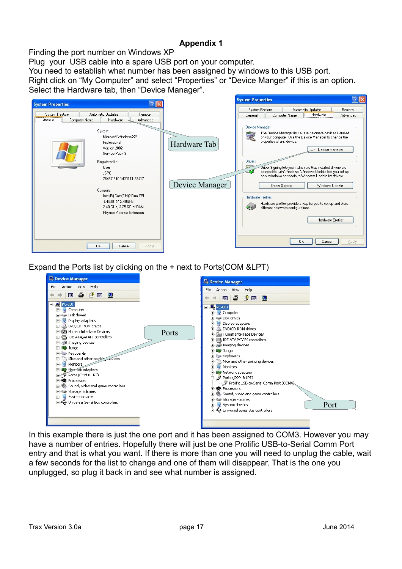# **Appendix 1**

Finding the port number on Windows XP

Plug your USB cable into a spare USB port on your computer.

You need to establish what number has been assigned by windows to this USB port.

Right click on "My Computer" and select "Properties" or "Device Manger" if this is an option. Select the Hardware tab, then "Device Manager".



Expand the Ports list by clicking on the + next to Ports(COM &LPT)



In this example there is just the one port and it has been assigned to COM3. However you may have a number of entries. Hopefully there will just be one Prolific USB-to-Serial Comm Port entry and that is what you want. If there is more than one you will need to unplug the cable, wait a few seconds for the list to change and one of them will disappear. That is the one you unplugged, so plug it back in and see what number is assigned.